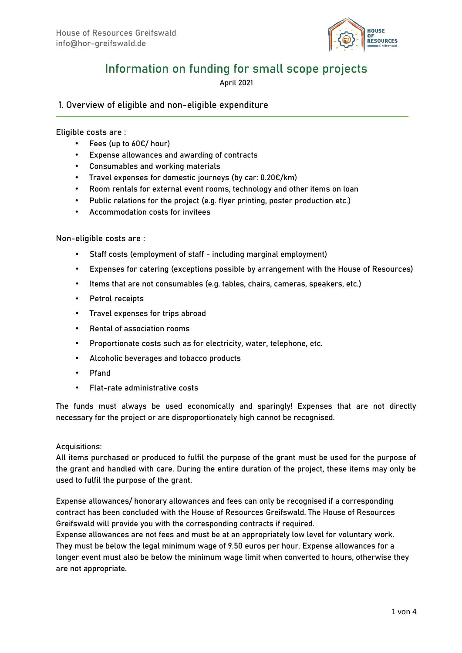

# Information on funding for small scope projects

April 2021

1. Overview of eligible and non-eligible expenditure

#### Eligible costs are :

- Fees (up to  $60 \in /$  hour)
- Expense allowances and awarding of contracts
- Consumables and working materials
- Travel expenses for domestic journeys (by car:  $0.20 \epsilon/km$ )
- Room rentals for external event rooms, technology and other items on loan
- Public relations for the project (e.g. flyer printing, poster production etc.)
- Accommodation costs for invitees

#### Non-eligible costs are :

- Staff costs (employment of staff including marginal employment)
- Expenses for catering (exceptions possible by arrangement with the House of Resources)
- Items that are not consumables (e.g. tables, chairs, cameras, speakers, etc.)
- Petrol receipts
- Travel expenses for trips abroad
- Rental of association rooms
- Proportionate costs such as for electricity, water, telephone, etc.
- Alcoholic beverages and tobacco products
- Pfand
- Flat-rate administrative costs

The funds must always be used economically and sparingly! Expenses that are not directly necessary for the project or are disproportionately high cannot be recognised.

#### Acquisitions:

All items purchased or produced to fulfil the purpose of the grant must be used for the purpose of the grant and handled with care. During the entire duration of the project, these items may only be used to fulfil the purpose of the grant.

Expense allowances/ honorary allowances and fees can only be recognised if a corresponding contract has been concluded with the House of Resources Greifswald. The House of Resources Greifswald will provide you with the corresponding contracts if required.

Expense allowances are not fees and must be at an appropriately low level for voluntary work. They must be below the legal minimum wage of 9.50 euros per hour. Expense allowances for a longer event must also be below the minimum wage limit when converted to hours, otherwise they are not appropriate.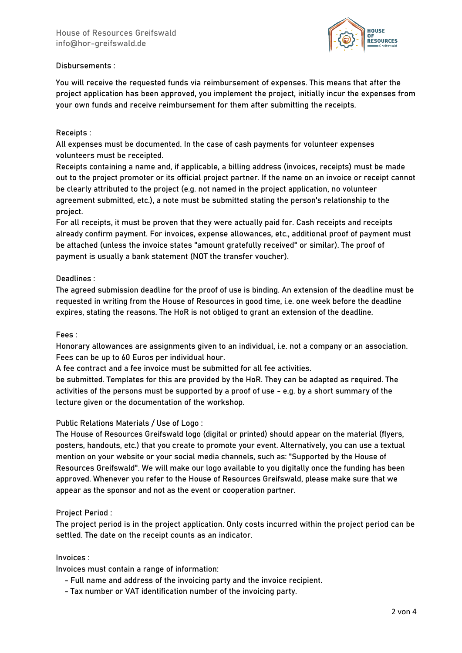

# Disbursements :

You will receive the requested funds via reimbursement of expenses. This means that after the project application has been approved, you implement the project, initially incur the expenses from your own funds and receive reimbursement for them after submitting the receipts.

# Receipts :

All expenses must be documented. In the case of cash payments for volunteer expenses volunteers must be receipted.

Receipts containing a name and, if applicable, a billing address (invoices, receipts) must be made out to the project promoter or its official project partner. If the name on an invoice or receipt cannot be clearly attributed to the project (e.g. not named in the project application, no volunteer agreement submitted, etc.), a note must be submitted stating the person's relationship to the project.

For all receipts, it must be proven that they were actually paid for. Cash receipts and receipts already confirm payment. For invoices, expense allowances, etc., additional proof of payment must be attached (unless the invoice states "amount gratefully received" or similar). The proof of payment is usually a bank statement (NOT the transfer voucher).

# Deadlines :

The agreed submission deadline for the proof of use is binding. An extension of the deadline must be requested in writing from the House of Resources in good time, i.e. one week before the deadline expires, stating the reasons. The HoR is not obliged to grant an extension of the deadline.

## Fees :

Honorary allowances are assignments given to an individual, i.e. not a company or an association. Fees can be up to 60 Euros per individual hour.

A fee contract and a fee invoice must be submitted for all fee activities.

be submitted. Templates for this are provided by the HoR. They can be adapted as required. The activities of the persons must be supported by a proof of use - e.g. by a short summary of the lecture given or the documentation of the workshop.

## Public Relations Materials / Use of Logo :

The House of Resources Greifswald logo (digital or printed) should appear on the material (flyers, posters, handouts, etc.) that you create to promote your event. Alternatively, you can use a textual mention on your website or your social media channels, such as: "Supported by the House of Resources Greifswald". We will make our logo available to you digitally once the funding has been approved. Whenever you refer to the House of Resources Greifswald, please make sure that we appear as the sponsor and not as the event or cooperation partner.

## Project Period :

The project period is in the project application. Only costs incurred within the project period can be settled. The date on the receipt counts as an indicator.

## Invoices :

Invoices must contain a range of information:

- Full name and address of the invoicing party and the invoice recipient.
- Tax number or VAT identification number of the invoicing party.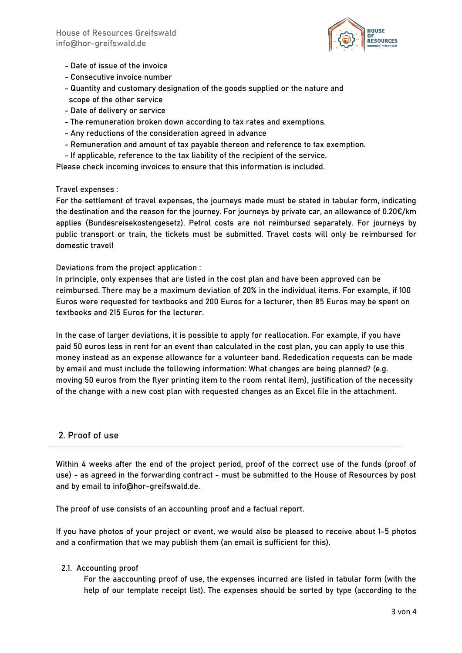

- Date of issue of the invoice
- Consecutive invoice number
- Quantity and customary designation of the goods supplied or the nature and scope of the other service
- Date of delivery or service
- The remuneration broken down according to tax rates and exemptions.
- Any reductions of the consideration agreed in advance
- Remuneration and amount of tax payable thereon and reference to tax exemption.
- If applicable, reference to the tax liability of the recipient of the service.

Please check incoming invoices to ensure that this information is included.

## Travel expenses :

For the settlement of travel expenses, the journeys made must be stated in tabular form, indicating the destination and the reason for the journey. For journeys by private car, an allowance of 0.20€/km applies (Bundesreisekostengesetz). Petrol costs are not reimbursed separately. For journeys by public transport or train, the tickets must be submitted. Travel costs will only be reimbursed for domestic travel!

Deviations from the project application :

In principle, only expenses that are listed in the cost plan and have been approved can be reimbursed. There may be a maximum deviation of 20% in the individual items. For example, if 100 Euros were requested for textbooks and 200 Euros for a lecturer, then 85 Euros may be spent on textbooks and 215 Euros for the lecturer.

In the case of larger deviations, it is possible to apply for reallocation. For example, if you have paid 50 euros less in rent for an event than calculated in the cost plan, you can apply to use this money instead as an expense allowance for a volunteer band. Rededication requests can be made by email and must include the following information: What changes are being planned? (e.g. moving 50 euros from the flyer printing item to the room rental item), justification of the necessity of the change with a new cost plan with requested changes as an Excel file in the attachment.

# 2. Proof of use

Within 4 weeks after the end of the project period, proof of the correct use of the funds (proof of use) - as agreed in the forwarding contract - must be submitted to the House of Resources by post and by email to info@hor-greifswald.de.

The proof of use consists of an accounting proof and a factual report.

If you have photos of your project or event, we would also be pleased to receive about 1-5 photos and a confirmation that we may publish them (an email is sufficient for this).

## 2.1. Accounting proof

For the aaccounting proof of use, the expenses incurred are listed in tabular form (with the help of our template receipt list). The expenses should be sorted by type (according to the